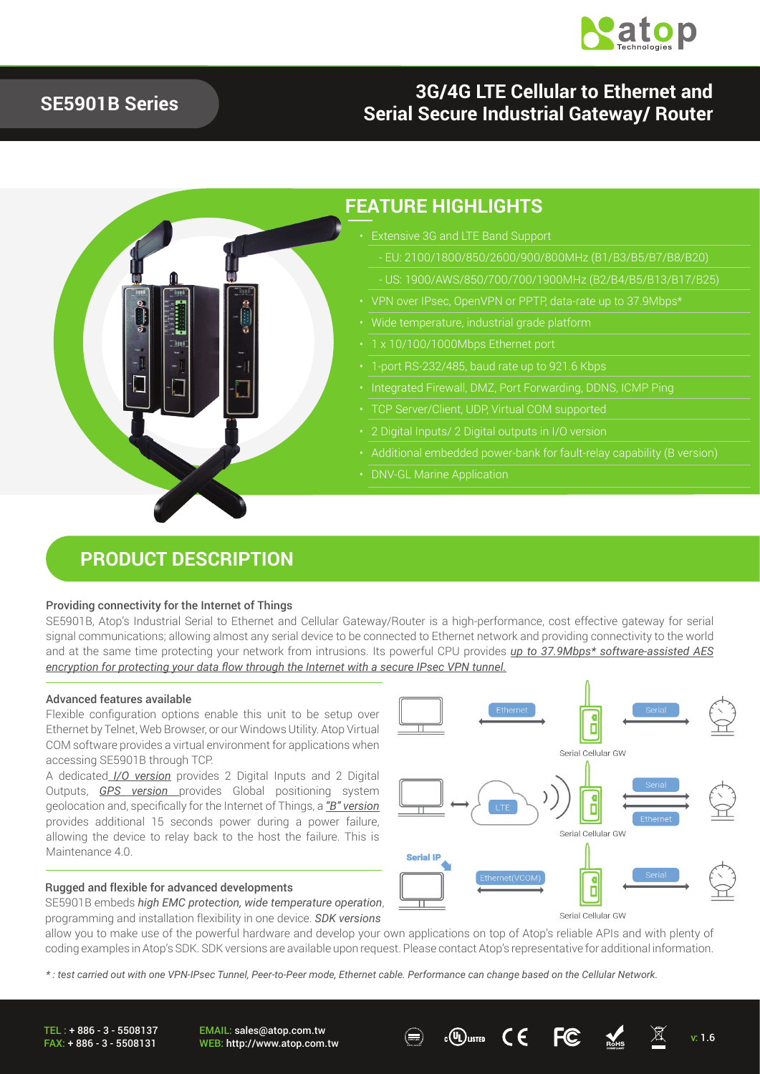

## **SE5901B Series**

### **3G/4G LTE Cellular to Ethernet and Serial Secure Industrial Gateway/ Router**



### **PRODUCT DESCRIPTION**

#### Providing connectivity for the Internet of Things

SE5901B, Atop's Industrial Serial to Ethernet and Cellular Gateway/Router is a high-performance, cost effective gateway for serial signal communications; allowing almost any serial device to be connected to Ethernet network and providing connectivity to the world and at the same time protecting your network from intrusions. Its powerful CPU provides *up to 37.9Mbps\* software-assisted AES encryption for protecting your data flow through the Internet with a secure IPsec VPN tunnel.*

#### Advanced features available

Flexible configuration options enable this unit to be setup over Ethernet by Telnet, Web Browser, or our Windows Utility. Atop Virtual COM software provides a virtual environment for applications when accessing SE5901B through TCP.

A dedicated *I/O version* provides 2 Digital Inputs and 2 Digital Outputs, *GPS version* provides Global positioning system geolocation and, specifically for the Internet of Things, a *"B" version* provides additional 15 seconds power during a power failure, allowing the device to relay back to the host the failure. This is Maintenance 4.0

#### Rugged and flexible for advanced developments

SE5901B embeds *high EMC protection, wide temperature operation*, programming and installation flexibility in one device. *SDK versions*

Ő Serial Cellular GW D Serial Cellular GW **Serial IP** ¢ П

Serial Cellular GW

allow you to make use of the powerful hardware and develop your own applications on top of Atop's reliable APIs and with plenty of coding examples in Atop's SDK. SDK versions are available upon request. Please contact Atop's representative for additional information.

*\* : test carried out with one VPN-IPsec Tunnel, Peer-to-Peer mode, Ethernet cable. Performance can change based on the Cellular Network.* 

TEL : + 886 - 3 - 5508137 FAX: + 886 - 3 - 5508131 EMAIL: sales@atop.com.tw EMAIL: sales@atop.com.tw  $\bigoplus_{v: B \subseteq B} c(v)$ usted  $\bigcup_{v \in B} \bigoplus_{v \in B} c(v)$  with  $v: 1.6$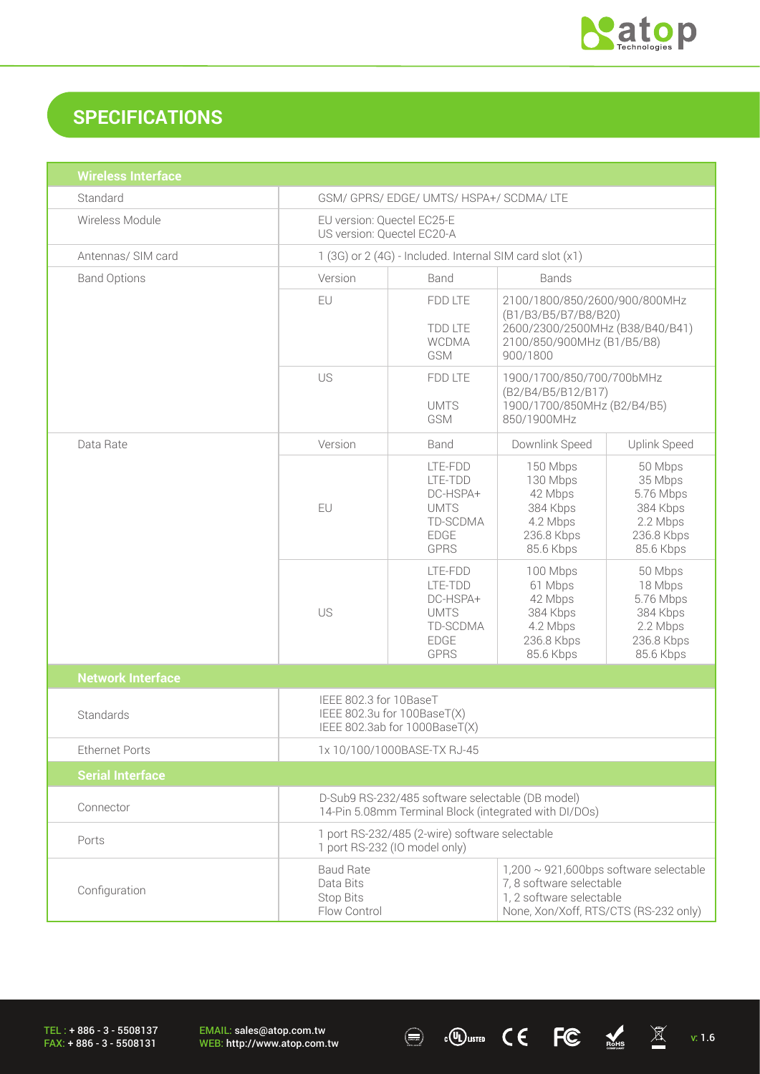

# **SPECIFICATIONS**

| <b>Wireless Interface</b> |                                                                                                                                                                                                                    |                                                                                         |                                                                                                                                    |                                                                                    |
|---------------------------|--------------------------------------------------------------------------------------------------------------------------------------------------------------------------------------------------------------------|-----------------------------------------------------------------------------------------|------------------------------------------------------------------------------------------------------------------------------------|------------------------------------------------------------------------------------|
| Standard                  | GSM/ GPRS/ EDGE/ UMTS/ HSPA+/ SCDMA/ LTE                                                                                                                                                                           |                                                                                         |                                                                                                                                    |                                                                                    |
| Wireless Module           | EU version: Quectel EC25-E<br>US version: Quectel EC20-A                                                                                                                                                           |                                                                                         |                                                                                                                                    |                                                                                    |
| Antennas/ SIM card        | 1 (3G) or 2 (4G) - Included. Internal SIM card slot (x1)                                                                                                                                                           |                                                                                         |                                                                                                                                    |                                                                                    |
| <b>Band Options</b>       | Version                                                                                                                                                                                                            | Band<br><b>Bands</b>                                                                    |                                                                                                                                    |                                                                                    |
|                           | EU                                                                                                                                                                                                                 | <b>FDD LTE</b><br><b>TDD LTE</b><br><b>WCDMA</b><br><b>GSM</b>                          | 2100/1800/850/2600/900/800MHz<br>(B1/B3/B5/B7/B8/B20)<br>2600/2300/2500MHz (B38/B40/B41)<br>2100/850/900MHz (B1/B5/B8)<br>900/1800 |                                                                                    |
|                           | US                                                                                                                                                                                                                 | FDD LTE<br><b>UMTS</b><br>GSM                                                           | 1900/1700/850/700/700bMHz<br>(B2/B4/B5/B12/B17)<br>1900/1700/850MHz (B2/B4/B5)<br>850/1900MHz                                      |                                                                                    |
| Data Rate                 | Version                                                                                                                                                                                                            | Band                                                                                    | Downlink Speed                                                                                                                     | Uplink Speed                                                                       |
|                           | EU                                                                                                                                                                                                                 | LTE-FDD<br>LTE-TDD<br>DC-HSPA+<br><b>UMTS</b><br>TD-SCDMA<br><b>EDGE</b><br><b>GPRS</b> | 150 Mbps<br>130 Mbps<br>42 Mbps<br>384 Kbps<br>4.2 Mbps<br>236.8 Kbps<br>85.6 Kbps                                                 | 50 Mbps<br>35 Mbps<br>5.76 Mbps<br>384 Kbps<br>2.2 Mbps<br>236.8 Kbps<br>85.6 Kbps |
|                           | US                                                                                                                                                                                                                 | LTE-FDD<br>LTE-TDD<br>DC-HSPA+<br><b>UMTS</b><br>TD-SCDMA<br><b>EDGE</b><br><b>GPRS</b> | 100 Mbps<br>61 Mbps<br>42 Mbps<br>384 Kbps<br>4.2 Mbps<br>236.8 Kbps<br>85.6 Kbps                                                  | 50 Mbps<br>18 Mbps<br>5.76 Mbps<br>384 Kbps<br>2.2 Mbps<br>236.8 Kbps<br>85.6 Kbps |
| <b>Network Interface</b>  |                                                                                                                                                                                                                    |                                                                                         |                                                                                                                                    |                                                                                    |
| Standards                 | IEEE 802.3 for 10BaseT<br>IEEE 802.3u for 100BaseT(X)<br>IEEE 802.3ab for 1000BaseT(X)                                                                                                                             |                                                                                         |                                                                                                                                    |                                                                                    |
| <b>Ethernet Ports</b>     | 1x 10/100/1000BASE-TX RJ-45                                                                                                                                                                                        |                                                                                         |                                                                                                                                    |                                                                                    |
| <b>Serial Interface</b>   |                                                                                                                                                                                                                    |                                                                                         |                                                                                                                                    |                                                                                    |
| Connector                 | D-Sub9 RS-232/485 software selectable (DB model)<br>14-Pin 5.08mm Terminal Block (integrated with DI/DOs)                                                                                                          |                                                                                         |                                                                                                                                    |                                                                                    |
| Ports                     | 1 port RS-232/485 (2-wire) software selectable<br>1 port RS-232 (IO model only)                                                                                                                                    |                                                                                         |                                                                                                                                    |                                                                                    |
| Configuration             | $1,200 \sim 921,600$ bps software selectable<br><b>Baud Rate</b><br>7, 8 software selectable<br>Data Bits<br>1, 2 software selectable<br><b>Stop Bits</b><br>Flow Control<br>None, Xon/Xoff, RTS/CTS (RS-232 only) |                                                                                         |                                                                                                                                    |                                                                                    |

 $\textcircled{\tiny{\textcircled{\tiny{H}}}}$   $\textcircled{\tiny{\textcircled{\tiny{H}}}}$   $\textcircled{\tiny{\textcircled{\tiny{H}}}}$   $\textcircled{\tiny{\textcircled{\tiny{H}}}}$   $\textcircled{\tiny{\textcircled{\tiny{H}}}}$   $\textcircled{\tiny{\textcircled{\tiny{H}}}}$   $\textcircled{\tiny{\textcircled{\tiny{H}}}}$   $\textcircled{\tiny{\textcircled{\tiny{H}}}}$   $\textcircled{\tiny{\textcircled{\tiny{H}}}}$   $\textcircled{\tiny{\textcircled{\tiny{H}}}}$   $\textcircled{\tiny{\textcircled{\tiny{H}}}}$   $\textcircled{\tiny{\textcircled{\$ 

TEL : + 886 - 3 - 5508137 FAX: + 886 - 3 - 5508131

EMAIL: sales@atop.com.tw<br>WEB: http://www.atop.com.tw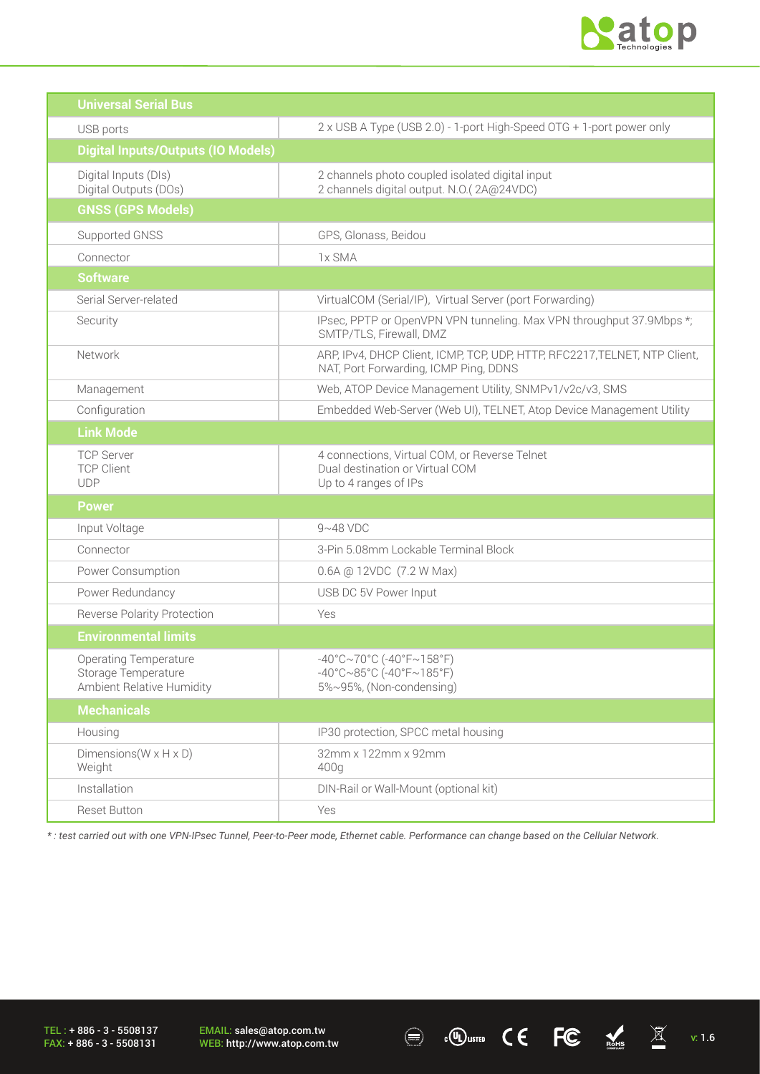

| <b>Universal Serial Bus</b>                                                      |                                                                                                                                                                   |  |
|----------------------------------------------------------------------------------|-------------------------------------------------------------------------------------------------------------------------------------------------------------------|--|
| USB ports                                                                        | 2 x USB A Type (USB 2.0) - 1-port High-Speed OTG + 1-port power only                                                                                              |  |
| <b>Digital Inputs/Outputs (IO Models)</b>                                        |                                                                                                                                                                   |  |
| Digital Inputs (DIs)<br>Digital Outputs (DOs)                                    | 2 channels photo coupled isolated digital input<br>2 channels digital output. N.O.(2A@24VDC)                                                                      |  |
| <b>GNSS (GPS Models)</b>                                                         |                                                                                                                                                                   |  |
| Supported GNSS                                                                   | GPS, Glonass, Beidou                                                                                                                                              |  |
| Connector                                                                        | 1x SMA                                                                                                                                                            |  |
| <b>Software</b>                                                                  |                                                                                                                                                                   |  |
| Serial Server-related                                                            | VirtualCOM (Serial/IP), Virtual Server (port Forwarding)                                                                                                          |  |
| Security                                                                         | IPsec, PPTP or OpenVPN VPN tunneling. Max VPN throughput 37.9Mbps *;<br>SMTP/TLS, Firewall, DMZ                                                                   |  |
| Network                                                                          | ARP, IPv4, DHCP Client, ICMP, TCP, UDP, HTTP, RFC2217, TELNET, NTP Client,<br>NAT, Port Forwarding, ICMP Ping, DDNS                                               |  |
| Management                                                                       | Web, ATOP Device Management Utility, SNMPv1/v2c/v3, SMS                                                                                                           |  |
| Configuration                                                                    | Embedded Web-Server (Web UI), TELNET, Atop Device Management Utility                                                                                              |  |
| <b>Link Mode</b>                                                                 |                                                                                                                                                                   |  |
| <b>TCP Server</b><br><b>TCP Client</b><br><b>UDP</b>                             | 4 connections, Virtual COM, or Reverse Telnet<br>Dual destination or Virtual COM<br>Up to 4 ranges of IPs                                                         |  |
| <b>Power</b>                                                                     |                                                                                                                                                                   |  |
| Input Voltage                                                                    | $9~48$ VDC                                                                                                                                                        |  |
| Connector                                                                        | 3-Pin 5.08mm Lockable Terminal Block                                                                                                                              |  |
| Power Consumption                                                                | 0.6A @ 12VDC (7.2 W Max)                                                                                                                                          |  |
| Power Redundancy                                                                 | USB DC 5V Power Input                                                                                                                                             |  |
| <b>Reverse Polarity Protection</b>                                               | Yes                                                                                                                                                               |  |
| <b>Environmental limits</b>                                                      |                                                                                                                                                                   |  |
| <b>Operating Temperature</b><br>Storage Temperature<br>Ambient Relative Humidity | $-40^{\circ}$ C $\sim$ 70°C (-40°F $\sim$ 158°F)<br>$-40^{\circ}$ C $\sim$ 85 $^{\circ}$ C (-40 $^{\circ}$ F $\sim$ 185 $^{\circ}$ F)<br>5%~95%, (Non-condensing) |  |
| <b>Mechanicals</b>                                                               |                                                                                                                                                                   |  |
| Housing                                                                          | IP30 protection, SPCC metal housing                                                                                                                               |  |
| Dimensions ( $W \times H \times D$ )<br>Weight                                   | 32mm x 122mm x 92mm<br>400q                                                                                                                                       |  |
| Installation                                                                     | DIN-Rail or Wall-Mount (optional kit)                                                                                                                             |  |
| Reset Button                                                                     | Yes                                                                                                                                                               |  |

*\* : test carried out with one VPN-IPsec Tunnel, Peer-to-Peer mode, Ethernet cable. Performance can change based on the Cellular Network.* 

 $\overline{C}$   $\overline{C}$   $\overline{C}$   $\overline{C}$   $\overline{X}$  v. 1.6

TEL : + 886 - 3 - 5508137 FAX: + 886 - 3 - 5508131

EMAIL: sales@atop.com.tw<br>WEB: http://www.atop.com.tw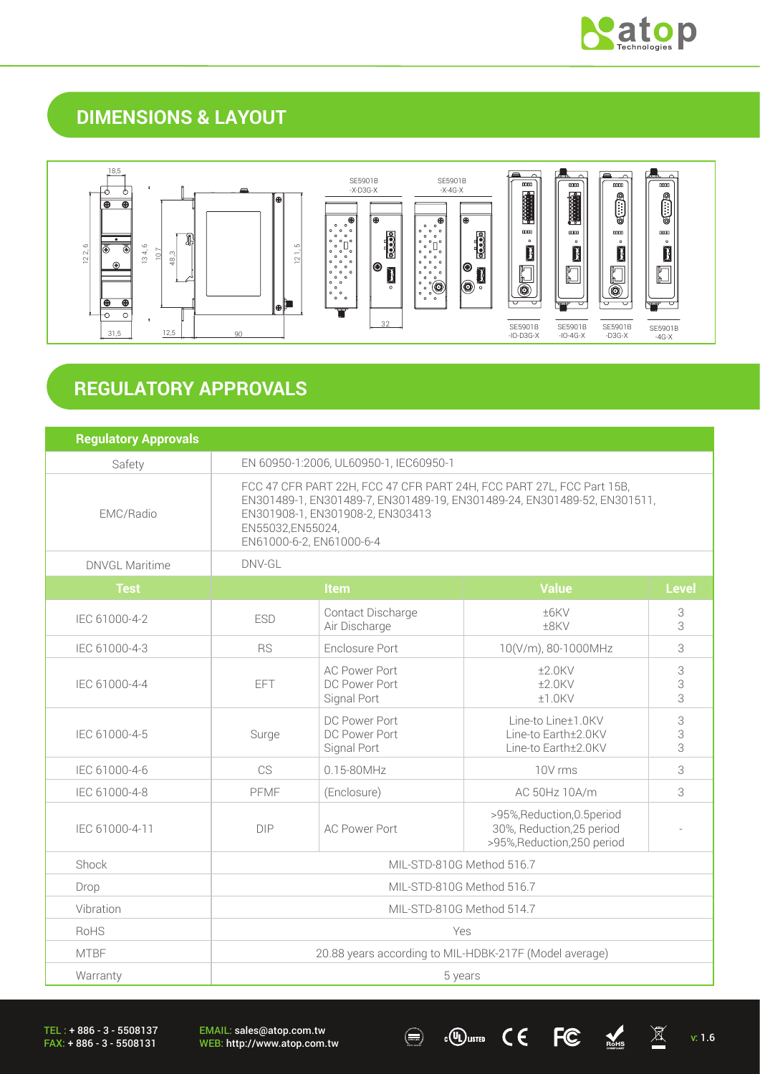

## **DIMENSIONS & LAYOUT**



# **REGULATORY APPROVALS**

| <b>Regulatory Approvals</b> |                                                                                                                                                                                                                                       |                                                      |                                                                                         |             |
|-----------------------------|---------------------------------------------------------------------------------------------------------------------------------------------------------------------------------------------------------------------------------------|------------------------------------------------------|-----------------------------------------------------------------------------------------|-------------|
| Safety                      | EN 60950-1:2006, UL60950-1, IEC60950-1                                                                                                                                                                                                |                                                      |                                                                                         |             |
| EMC/Radio                   | FCC 47 CFR PART 22H, FCC 47 CFR PART 24H, FCC PART 27L, FCC Part 15B,<br>EN301489-1, EN301489-7, EN301489-19, EN301489-24, EN301489-52, EN301511,<br>EN301908-1, EN301908-2, EN303413<br>EN55032,EN55024,<br>EN61000-6-2, EN61000-6-4 |                                                      |                                                                                         |             |
| <b>DNVGL Maritime</b>       | DNV-GL                                                                                                                                                                                                                                |                                                      |                                                                                         |             |
| <b>Test</b>                 | <b>Value</b><br><b>Item</b>                                                                                                                                                                                                           |                                                      | <b>Level</b>                                                                            |             |
| IEC 61000-4-2               | <b>ESD</b>                                                                                                                                                                                                                            | Contact Discharge<br>Air Discharge                   | ±6KV<br>±8KV                                                                            | 3<br>3      |
| IEC 61000-4-3               | <b>RS</b>                                                                                                                                                                                                                             | Enclosure Port                                       | 10(V/m), 80-1000MHz                                                                     | 3           |
| IEC 61000-4-4               | EFT                                                                                                                                                                                                                                   | <b>AC Power Port</b><br>DC Power Port<br>Signal Port | $±2.0$ KV<br>$±2.0$ KV<br>±1.0KV                                                        | 3<br>3<br>3 |
| IEC 61000-4-5               | Surge                                                                                                                                                                                                                                 | DC Power Port<br>DC Power Port<br>Signal Port        | Line-to Line±1.0KV<br>Line-to Earth±2.0KV<br>Line-to Earth±2.0KV                        | 3<br>3<br>3 |
| IEC 61000-4-6               | CS                                                                                                                                                                                                                                    | 015-80MHz                                            | 10V rms                                                                                 | 3           |
| IEC 61000-4-8               | PFMF                                                                                                                                                                                                                                  | (Enclosure)                                          | AC 50Hz 10A/m                                                                           | 3           |
| IEC 61000-4-11              | <b>DIP</b>                                                                                                                                                                                                                            | <b>AC Power Port</b>                                 | >95%, Reduction, 0.5 period<br>30%, Reduction, 25 period<br>>95%, Reduction, 250 period |             |
| Shock                       | MIL-STD-810G Method 516.7                                                                                                                                                                                                             |                                                      |                                                                                         |             |
| Drop                        | MIL-STD-810G Method 516.7                                                                                                                                                                                                             |                                                      |                                                                                         |             |
| Vibration                   | MIL-STD-810G Method 514.7                                                                                                                                                                                                             |                                                      |                                                                                         |             |
| RoHS                        | Yes                                                                                                                                                                                                                                   |                                                      |                                                                                         |             |
| <b>MTBF</b>                 | 20.88 years according to MIL-HDBK-217F (Model average)                                                                                                                                                                                |                                                      |                                                                                         |             |
| Warranty                    | 5 years                                                                                                                                                                                                                               |                                                      |                                                                                         |             |

TEL : + 886 - 3 - 5508137 FAX: + 886 - 3 - 5508131

EMAIL: sales@atop.com.tw EMAIL: sales@atop.com.tw  $\bigcirc$   $\bigcirc$   $\bigcirc$   $\bigcirc$   $\bigcirc$   $\bigcirc$   $\bigcirc$   $\bigcirc$   $\bigcirc$   $\bigcirc$   $\bigcirc$   $\bigcirc$   $\bigcirc$   $\bigcirc$   $\bigcirc$   $\bigcirc$   $\bigcirc$   $\bigcirc$  1.6